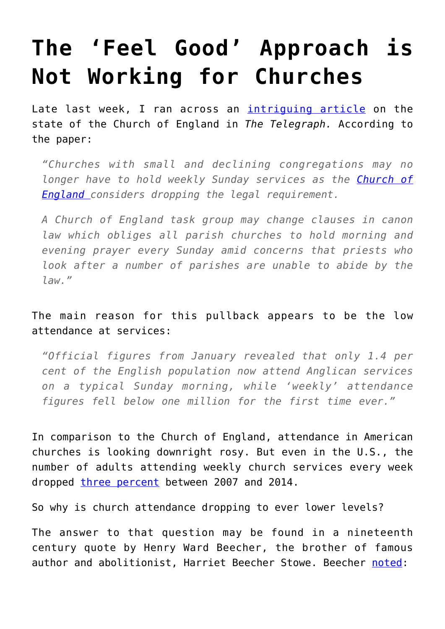## **[The 'Feel Good' Approach is](https://intellectualtakeout.org/2016/10/the-feel-good-approach-is-not-working-for-churches/) [Not Working for Churches](https://intellectualtakeout.org/2016/10/the-feel-good-approach-is-not-working-for-churches/)**

Late last week, I ran across an *[intriguing article](http://www.telegraph.co.uk/news/2016/10/18/church-of-england-considers-abandoning-requirement-for-sunday-se/)* on the state of the Church of England in *The Telegraph.* According to the paper:

*"Churches with small and declining congregations may no longer have to hold weekly Sunday services as the [Church of](http://www.telegraph.co.uk/church-of-england/) [England](http://www.telegraph.co.uk/church-of-england/) considers dropping the legal requirement.*

*A Church of England task group may change clauses in canon law which obliges all parish churches to hold morning and evening prayer every Sunday amid concerns that priests who look after a number of parishes are unable to abide by the law."*

## The main reason for this pullback appears to be the low attendance at services:

*"Official figures from January revealed that only 1.4 per cent of the English population now attend Anglican services on a typical Sunday morning, while 'weekly' attendance figures fell below one million for the first time ever."*

In comparison to the Church of England, attendance in American churches is looking downright rosy. But even in the U.S., the number of adults attending weekly church services every week dropped [three percent](http://www.pewforum.org/religious-landscape-study/attendance-at-religious-services/) between 2007 and 2014.

So why is church attendance dropping to ever lower levels?

The answer to that question may be found in a nineteenth century quote by Henry Ward Beecher, the brother of famous author and abolitionist, Harriet Beecher Stowe. Beecher [noted](https://books.google.com/books?id=MV5DAAAAYAAJ&printsec=frontcover#v=onepage&q&f=false):